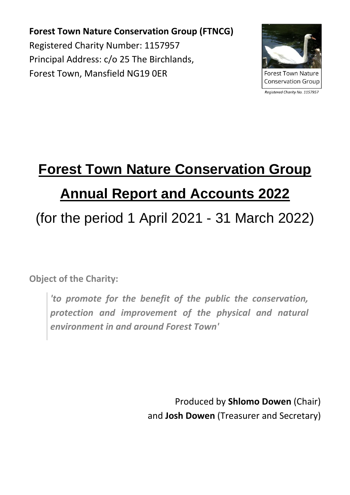**Forest Town Nature Conservation Group (FTNCG)** Registered Charity Number: 1157957 Principal Address: c/o 25 The Birchlands, Forest Town, Mansfield NG19 0ER



**Forest Town Nature Conservation Group** 

Registered Charity No. 1157957

# **Forest Town Nature Conservation Group Annual Report and Accounts 2022**

## (for the period 1 April 2021 - 31 March 2022)

**Object of the Charity:**

*'to promote for the benefit of the public the conservation, protection and improvement of the physical and natural environment in and around Forest Town'*

> Produced by **Shlomo Dowen** (Chair) and **Josh Dowen** (Treasurer and Secretary)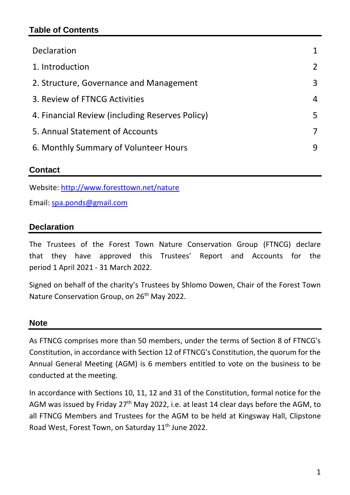#### **Table of Contents**

| Declaration                                     |                |
|-------------------------------------------------|----------------|
| 1. Introduction                                 | $\overline{2}$ |
| 2. Structure, Governance and Management         | 3              |
| 3. Review of FTNCG Activities                   | 4              |
| 4. Financial Review (including Reserves Policy) | 5              |
| 5. Annual Statement of Accounts                 | 7              |
| 6. Monthly Summary of Volunteer Hours           | 9              |
|                                                 |                |

#### **Contact**

Website:<http://www.foresttown.net/nature>

Email: [spa.ponds@gmail.com](mailto:spa.ponds@gmail.com)

#### **Declaration**

The Trustees of the Forest Town Nature Conservation Group (FTNCG) declare that they have approved this Trustees' Report and Accounts for the period 1 April 2021 - 31 March 2022.

Signed on behalf of the charity's Trustees by Shlomo Dowen, Chair of the Forest Town Nature Conservation Group, on 26<sup>th</sup> May 2022.

#### **Note**

As FTNCG comprises more than 50 members, under the terms of Section 8 of FTNCG's Constitution, in accordance with Section 12 of FTNCG's Constitution, the quorum for the Annual General Meeting (AGM) is 6 members entitled to vote on the business to be conducted at the meeting.

In accordance with Sections 10, 11, 12 and 31 of the Constitution, formal notice for the AGM was issued by Friday 27<sup>th</sup> May 2022, i.e. at least 14 clear days before the AGM, to all FTNCG Members and Trustees for the AGM to be held at Kingsway Hall, Clipstone Road West, Forest Town, on Saturday 11<sup>th</sup> June 2022.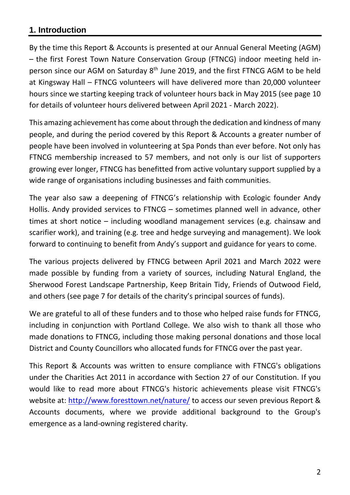#### **1. Introduction**

By the time this Report & Accounts is presented at our Annual General Meeting (AGM) – the first Forest Town Nature Conservation Group (FTNCG) indoor meeting held inperson since our AGM on Saturday 8<sup>th</sup> June 2019, and the first FTNCG AGM to be held at Kingsway Hall – FTNCG volunteers will have delivered more than 20,000 volunteer hours since we starting keeping track of volunteer hours back in May 2015 (see page 10 for details of volunteer hours delivered between April 2021 - March 2022).

This amazing achievement has come about through the dedication and kindness of many people, and during the period covered by this Report & Accounts a greater number of people have been involved in volunteering at Spa Ponds than ever before. Not only has FTNCG membership increased to 57 members, and not only is our list of supporters growing ever longer, FTNCG has benefitted from active voluntary support supplied by a wide range of organisations including businesses and faith communities.

The year also saw a deepening of FTNCG's relationship with Ecologic founder Andy Hollis. Andy provided services to FTNCG – sometimes planned well in advance, other times at short notice – including woodland management services (e.g. chainsaw and scarifier work), and training (e.g. tree and hedge surveying and management). We look forward to continuing to benefit from Andy's support and guidance for years to come.

The various projects delivered by FTNCG between April 2021 and March 2022 were made possible by funding from a variety of sources, including Natural England, the Sherwood Forest Landscape Partnership, Keep Britain Tidy, Friends of Outwood Field, and others (see page 7 for details of the charity's principal sources of funds).

We are grateful to all of these funders and to those who helped raise funds for FTNCG, including in conjunction with Portland College. We also wish to thank all those who made donations to FTNCG, including those making personal donations and those local District and County Councillors who allocated funds for FTNCG over the past year.

This Report & Accounts was written to ensure compliance with FTNCG's obligations under the Charities Act 2011 in accordance with Section 27 of our Constitution. If you would like to read more about FTNCG's historic achievements please visit FTNCG's website at:<http://www.foresttown.net/nature/> to access our seven previous Report & Accounts documents, where we provide additional background to the Group's emergence as a land-owning registered charity.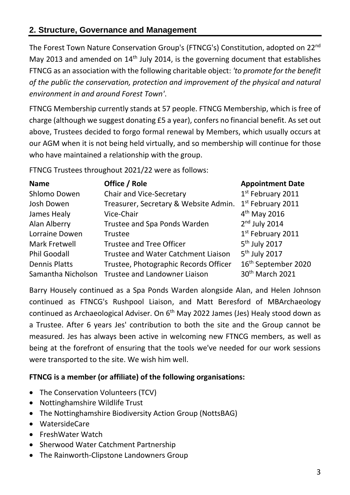#### **2. Structure, Governance and Management**

The Forest Town Nature Conservation Group's (FTNCG's) Constitution, adopted on 22nd May 2013 and amended on 14<sup>th</sup> July 2014, is the governing document that establishes FTNCG as an association with the following charitable object: *'to promote for the benefit of the public the conservation, protection and improvement of the physical and natural environment in and around Forest Town'*.

FTNCG Membership currently stands at 57 people. FTNCG Membership, which is free of charge (although we suggest donating £5 a year), confers no financial benefit. As set out above, Trustees decided to forgo formal renewal by Members, which usually occurs at our AGM when it is not being held virtually, and so membership will continue for those who have maintained a relationship with the group.

FTNCG Trustees throughout 2021/22 were as follows:

| <b>Name</b>          | Office / Role                                    | <b>Appointment Date</b>         |
|----------------------|--------------------------------------------------|---------------------------------|
| Shlomo Dowen         | <b>Chair and Vice-Secretary</b>                  | 1st February 2011               |
| Josh Dowen           | Treasurer, Secretary & Website Admin.            | 1st February 2011               |
| James Healy          | Vice-Chair                                       | $4th$ May 2016                  |
| Alan Alberry         | Trustee and Spa Ponds Warden                     | $2nd$ July 2014                 |
| Lorraine Dowen       | <b>Trustee</b>                                   | 1st February 2011               |
| Mark Fretwell        | <b>Trustee and Tree Officer</b>                  | 5 <sup>th</sup> July 2017       |
| <b>Phil Goodall</b>  | Trustee and Water Catchment Liaison              | 5 <sup>th</sup> July 2017       |
| <b>Dennis Platts</b> | Trustee, Photographic Records Officer            | 16 <sup>th</sup> September 2020 |
|                      | Samantha Nicholson Trustee and Landowner Liaison | 30 <sup>th</sup> March 2021     |

Barry Housely continued as a Spa Ponds Warden alongside Alan, and Helen Johnson continued as FTNCG's Rushpool Liaison, and Matt Beresford of MBArchaeology continued as Archaeological Adviser. On 6<sup>th</sup> May 2022 James (Jes) Healy stood down as a Trustee. After 6 years Jes' contribution to both the site and the Group cannot be measured. Jes has always been active in welcoming new FTNCG members, as well as being at the forefront of ensuring that the tools we've needed for our work sessions were transported to the site. We wish him well.

#### **FTNCG is a member (or affiliate) of the following organisations:**

- The Conservation Volunteers (TCV)
- Nottinghamshire Wildlife Trust
- The Nottinghamshire Biodiversity Action Group (NottsBAG)
- WatersideCare
- FreshWater Watch
- Sherwood Water Catchment Partnership
- The Rainworth-Clipstone Landowners Group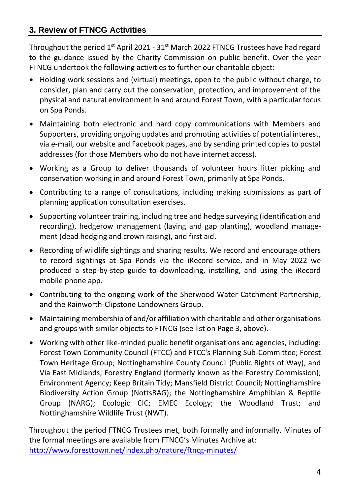#### **3. Review of FTNCG Activities**

Throughout the period  $1<sup>st</sup>$  April 2021 - 31 $<sup>st</sup>$  March 2022 FTNCG Trustees have had regard</sup> to the guidance issued by the Charity Commission on public benefit. Over the year FTNCG undertook the following activities to further our charitable object:

- Holding work sessions and (virtual) meetings, open to the public without charge, to consider, plan and carry out the conservation, protection, and improvement of the physical and natural environment in and around Forest Town, with a particular focus on Spa Ponds.
- Maintaining both electronic and hard copy communications with Members and Supporters, providing ongoing updates and promoting activities of potential interest, via e-mail, our website and Facebook pages, and by sending printed copies to postal addresses (for those Members who do not have internet access).
- Working as a Group to deliver thousands of volunteer hours litter picking and conservation working in and around Forest Town, primarily at Spa Ponds.
- Contributing to a range of consultations, including making submissions as part of planning application consultation exercises.
- Supporting volunteer training, including tree and hedge surveying (identification and recording), hedgerow management (laying and gap planting), woodland management (dead hedging and crown raising), and first aid.
- Recording of wildlife sightings and sharing results. We record and encourage others to record sightings at Spa Ponds via the iRecord service, and in May 2022 we produced a step-by-step guide to downloading, installing, and using the iRecord mobile phone app.
- Contributing to the ongoing work of the Sherwood Water Catchment Partnership, and the Rainworth-Clipstone Landowners Group.
- Maintaining membership of and/or affiliation with charitable and other organisations and groups with similar objects to FTNCG (see list on Page 3, above).
- Working with other like-minded public benefit organisations and agencies, including: Forest Town Community Council (FTCC) and FTCC's Planning Sub-Committee; Forest Town Heritage Group; Nottinghamshire County Council (Public Rights of Way), and Via East Midlands; Forestry England (formerly known as the Forestry Commission); Environment Agency; Keep Britain Tidy; Mansfield District Council; Nottinghamshire Biodiversity Action Group (NottsBAG); the Nottinghamshire Amphibian & Reptile Group (NARG); Ecologic CIC; EMEC Ecology; the Woodland Trust; and Nottinghamshire Wildlife Trust (NWT).

Throughout the period FTNCG Trustees met, both formally and informally. Minutes of the formal meetings are available from FTNCG's Minutes Archive at: <http://www.foresttown.net/index.php/nature/ftncg-minutes/>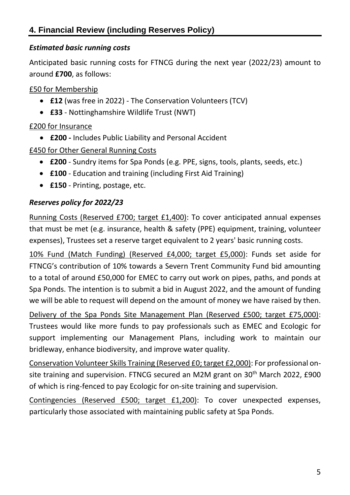#### *Estimated basic running costs*

Anticipated basic running costs for FTNCG during the next year (2022/23) amount to around **£700**, as follows:

#### £50 for Membership

- **£12** (was free in 2022) The Conservation Volunteers (TCV)
- **£33** Nottinghamshire Wildlife Trust (NWT)

#### £200 for Insurance

- **£200 -** Includes Public Liability and Personal Accident
- £450 for Other General Running Costs
	- **£200** Sundry items for Spa Ponds (e.g. PPE, signs, tools, plants, seeds, etc.)
	- **£100** Education and training (including First Aid Training)
	- **£150** Printing, postage, etc.

#### *Reserves policy for 2022/23*

Running Costs (Reserved £700; target £1,400): To cover anticipated annual expenses that must be met (e.g. insurance, health & safety (PPE) equipment, training, volunteer expenses), Trustees set a reserve target equivalent to 2 years' basic running costs.

10% Fund (Match Funding) (Reserved £4,000; target £5,000): Funds set aside for FTNCG's contribution of 10% towards a Severn Trent Community Fund bid amounting to a total of around £50,000 for EMEC to carry out work on pipes, paths, and ponds at Spa Ponds. The intention is to submit a bid in August 2022, and the amount of funding we will be able to request will depend on the amount of money we have raised by then.

Delivery of the Spa Ponds Site Management Plan (Reserved £500; target £75,000): Trustees would like more funds to pay professionals such as EMEC and Ecologic for support implementing our Management Plans, including work to maintain our bridleway, enhance biodiversity, and improve water quality.

Conservation Volunteer Skills Training (Reserved £0; target £2,000): For professional onsite training and supervision. FTNCG secured an M2M grant on 30<sup>th</sup> March 2022, £900 of which is ring-fenced to pay Ecologic for on-site training and supervision.

Contingencies (Reserved £500; target £1,200): To cover unexpected expenses, particularly those associated with maintaining public safety at Spa Ponds.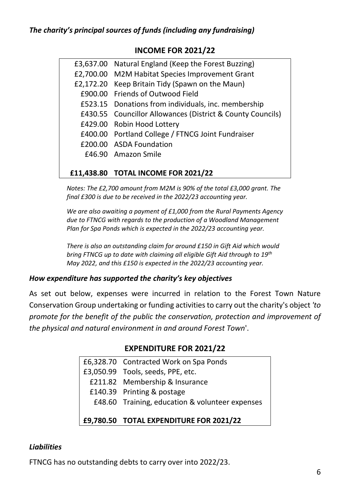#### **INCOME FOR 2021/22**

|  | <b>£11,438.80 TOTAL INCOME FOR 2021/22</b>                 |
|--|------------------------------------------------------------|
|  | £46.90 Amazon Smile                                        |
|  | £200.00 ASDA Foundation                                    |
|  | £400.00 Portland College / FTNCG Joint Fundraiser          |
|  | £429.00 Robin Hood Lottery                                 |
|  | £430.55 Councillor Allowances (District & County Councils) |
|  | £523.15 Donations from individuals, inc. membership        |
|  | £900.00 Friends of Outwood Field                           |
|  | £2,172.20 Keep Britain Tidy (Spawn on the Maun)            |
|  | £2,700.00 M2M Habitat Species Improvement Grant            |
|  | £3,637.00 Natural England (Keep the Forest Buzzing)        |
|  |                                                            |

*Notes: The £2,700 amount from M2M is 90% of the total £3,000 grant. The final £300 is due to be received in the 2022/23 accounting year.*

*We are also awaiting a payment of £1,000 from the Rural Payments Agency due to FTNCG with regards to the production of a Woodland Management Plan for Spa Ponds which is expected in the 2022/23 accounting year.*

*There is also an outstanding claim for around £150 in Gift Aid which would bring FTNCG up to date with claiming all eligible Gift Aid through to 19th May 2022, and this £150 is expected in the 2022/23 accounting year.*

#### *How expenditure has supported the charity's key objectives*

As set out below, expenses were incurred in relation to the Forest Town Nature Conservation Group undertaking or funding activities to carry out the charity's object *'to promote for the benefit of the public the conservation, protection and improvement of the physical and natural environment in and around Forest Town*'.

#### **EXPENDITURE FOR 2021/22**

| £9,780.50 TOTAL EXPENDITURE FOR 2021/22         |
|-------------------------------------------------|
| £48.60 Training, education & volunteer expenses |
| £140.39 Printing & postage                      |
| £211.82 Membership & Insurance                  |
| £3,050.99 Tools, seeds, PPE, etc.               |
| £6,328.70 Contracted Work on Spa Ponds          |

#### *Liabilities*

FTNCG has no outstanding debts to carry over into 2022/23.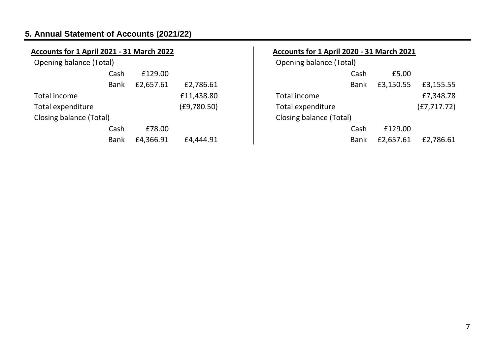### **5. Annual Statement of Accounts (2021/22)**

| Accounts for 1 April 2021 - 31 March 2022 |             |           |             | <b>Accounts for 1</b> |
|-------------------------------------------|-------------|-----------|-------------|-----------------------|
| <b>Opening balance (Total)</b>            |             |           |             | Opening balan         |
|                                           | Cash        | £129.00   |             |                       |
|                                           | <b>Bank</b> | £2,657.61 | £2,786.61   |                       |
| Total income                              |             |           | £11,438.80  | Total income          |
| Total expenditure                         |             |           | (E9,780.50) | <b>Total expendit</b> |
| Closing balance (Total)                   |             |           |             | Closing balanc        |
|                                           | Cash        | £78.00    |             |                       |
|                                           | <b>Bank</b> | £4,366.91 | £4,444.91   |                       |
|                                           |             |           |             |                       |

| Accounts for 1 April 2020 - 31 March 2021 |             |           |              |  |
|-------------------------------------------|-------------|-----------|--------------|--|
| Opening balance (Total)                   |             |           |              |  |
|                                           | Cash        | £5.00     |              |  |
|                                           | <b>Bank</b> | £3,150.55 | £3,155.55    |  |
| Total income                              |             |           | £7,348.78    |  |
| Total expenditure                         |             |           | (E7, 717.72) |  |
| Closing balance (Total)                   |             |           |              |  |
|                                           | Cash        | £129.00   |              |  |
|                                           | Bank        | £2,657.61 | £2,786.61    |  |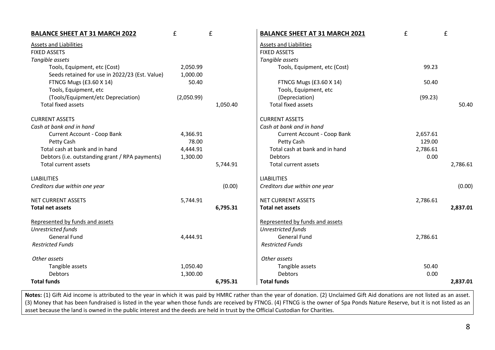| <b>BALANCE SHEET AT 31 MARCH 2022</b>           | £          | £        | <b>BALANCE SHEET AT 31 MARCH 2021</b> | £        | £        |
|-------------------------------------------------|------------|----------|---------------------------------------|----------|----------|
| Assets and Liabilities                          |            |          | Assets and Liabilities                |          |          |
| <b>FIXED ASSETS</b>                             |            |          | <b>FIXED ASSETS</b>                   |          |          |
| Tangible assets                                 |            |          | Tangible assets                       |          |          |
| Tools, Equipment, etc (Cost)                    | 2,050.99   |          | Tools, Equipment, etc (Cost)          | 99.23    |          |
| Seeds retained for use in 2022/23 (Est. Value)  | 1,000.00   |          |                                       |          |          |
| FTNCG Mugs (£3.60 X 14)                         | 50.40      |          | FTNCG Mugs (£3.60 X 14)               | 50.40    |          |
| Tools, Equipment, etc                           |            |          | Tools, Equipment, etc                 |          |          |
| (Tools/Equipment/etc Depreciation)              | (2,050.99) |          | (Depreciation)                        | (99.23)  |          |
| <b>Total fixed assets</b>                       |            | 1,050.40 | <b>Total fixed assets</b>             |          | 50.40    |
| <b>CURRENT ASSETS</b>                           |            |          | <b>CURRENT ASSETS</b>                 |          |          |
| Cash at bank and in hand                        |            |          | Cash at bank and in hand              |          |          |
| Current Account - Coop Bank                     | 4,366.91   |          | Current Account - Coop Bank           | 2,657.61 |          |
| Petty Cash                                      | 78.00      |          | Petty Cash                            | 129.00   |          |
| Total cash at bank and in hand                  | 4,444.91   |          | Total cash at bank and in hand        | 2,786.61 |          |
| Debtors (i.e. outstanding grant / RPA payments) | 1,300.00   |          | <b>Debtors</b>                        | 0.00     |          |
| Total current assets                            |            | 5,744.91 | Total current assets                  |          | 2,786.61 |
| <b>LIABILITIES</b>                              |            |          | <b>LIABILITIES</b>                    |          |          |
| Creditors due within one year                   |            | (0.00)   | Creditors due within one year         |          | (0.00)   |
| <b>NET CURRENT ASSETS</b>                       | 5,744.91   |          | NET CURRENT ASSETS                    | 2,786.61 |          |
| <b>Total net assets</b>                         |            | 6,795.31 | Total net assets                      |          | 2,837.01 |
| Represented by funds and assets                 |            |          | Represented by funds and assets       |          |          |
| <b>Unrestricted funds</b>                       |            |          | <b>Unrestricted funds</b>             |          |          |
| <b>General Fund</b>                             | 4,444.91   |          | <b>General Fund</b>                   | 2,786.61 |          |
| <b>Restricted Funds</b>                         |            |          | <b>Restricted Funds</b>               |          |          |
| Other assets                                    |            |          | Other assets                          |          |          |
| Tangible assets                                 | 1,050.40   |          | Tangible assets                       | 50.40    |          |
| Debtors                                         | 1,300.00   |          | <b>Debtors</b>                        | 0.00     |          |
| <b>Total funds</b>                              |            | 6,795.31 | <b>Total funds</b>                    |          | 2,837.01 |

Notes: (1) Gift Aid income is attributed to the year in which it was paid by HMRC rather than the year of donation. (2) Unclaimed Gift Aid donations are not listed as an asset. (3) Money that has been fundraised is listed in the year when those funds are received by FTNCG. (4) FTNCG is the owner of Spa Ponds Nature Reserve, but it is not listed as an asset because the land is owned in the public interest and the deeds are held in trust by the Official Custodian for Charities.